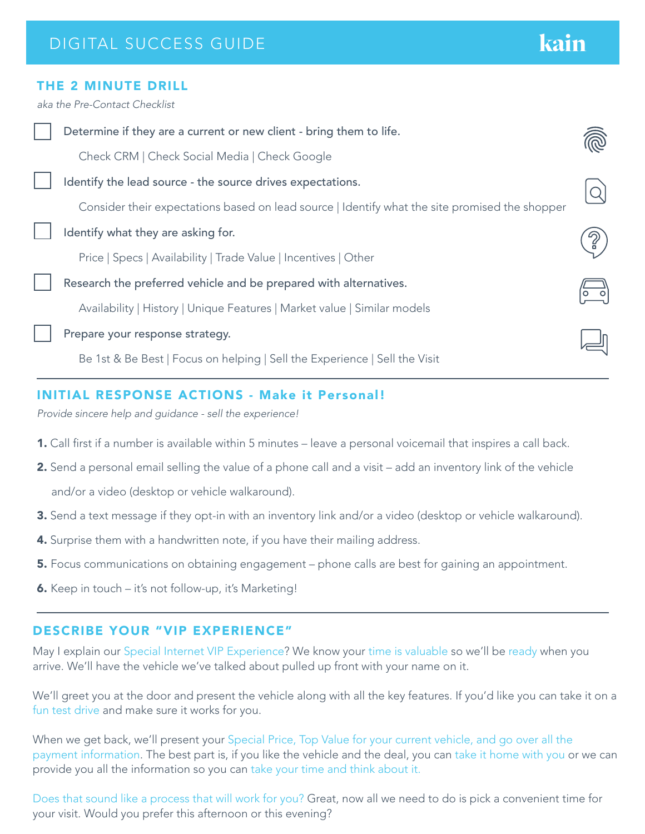# kain

#### THE 2 MINUTE DRILL

*aka the Pre-Contact Checklist*

| Check CRM   Check Social Media   Check Google                                                  |  |
|------------------------------------------------------------------------------------------------|--|
| Identify the lead source - the source drives expectations.                                     |  |
| Consider their expectations based on lead source   Identify what the site promised the shopper |  |
| Identify what they are asking for.                                                             |  |
| Price   Specs   Availability   Trade Value   Incentives   Other                                |  |
| Research the preferred vehicle and be prepared with alternatives.                              |  |
| Availability   History   Unique Features   Market value   Similar models                       |  |
| Prepare your response strategy.                                                                |  |
| Be 1st & Be Best   Focus on helping   Sell the Experience   Sell the Visit                     |  |

#### INITIAL RESPONSE ACTIONS - Make it Personal!

*Provide sincere help and guidance - sell the experience!*

- 1. Call first if a number is available within 5 minutes leave a personal voicemail that inspires a call back.
- 2. Send a personal email selling the value of a phone call and a visit add an inventory link of the vehicle and/or a video (desktop or vehicle walkaround).
- 3. Send a text message if they opt-in with an inventory link and/or a video (desktop or vehicle walkaround).
- 4. Surprise them with a handwritten note, if you have their mailing address.
- 5. Focus communications on obtaining engagement phone calls are best for gaining an appointment.
- 6. Keep in touch it's not follow-up, it's Marketing!

#### DESCRIBE YOUR "VIP EXPERIENCE"

May I explain our Special Internet VIP Experience? We know your time is valuable so we'll be ready when you arrive. We'll have the vehicle we've talked about pulled up front with your name on it.

We'll greet you at the door and present the vehicle along with all the key features. If you'd like you can take it on a fun test drive and make sure it works for you.

When we get back, we'll present your Special Price, Top Value for your current vehicle, and go over all the payment information. The best part is, if you like the vehicle and the deal, you can take it home with you or we can provide you all the information so you can take your time and think about it.

Does that sound like a process that will work for you? Great, now all we need to do is pick a convenient time for your visit. Would you prefer this afternoon or this evening?